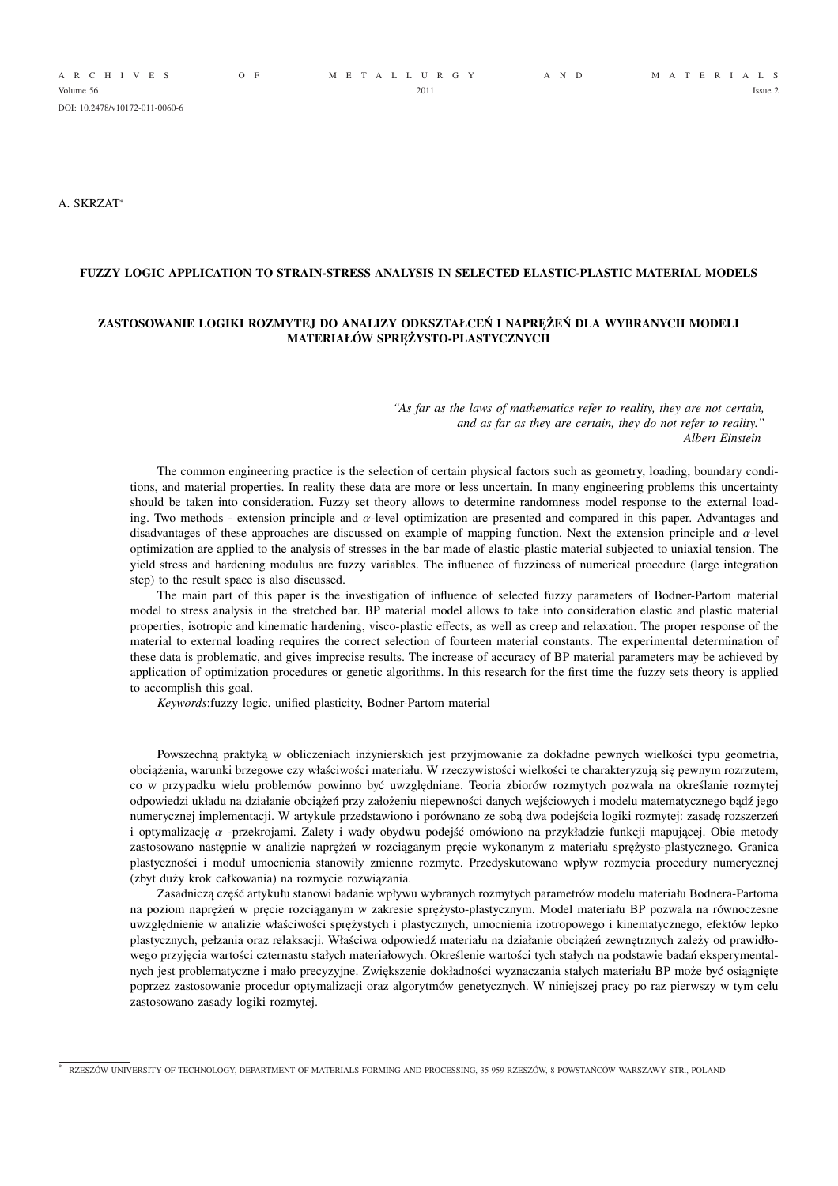DOI: 10.2478/v10172-011-0060-6

A. SKRZAT<sup>∗</sup>

#### **FUZZY LOGIC APPLICATION TO STRAIN-STRESS ANALYSIS IN SELECTED ELASTIC-PLASTIC MATERIAL MODELS**

### **ZASTOSOWANIE LOGIKI ROZMYTEJ DO ANALIZY ODKSZTAŁCEŃ I NAPRĘŻEŃ DLA WYBRANYCH MODELI MATERIAŁÓW SPRĘŻYSTO-PLASTYCZNYCH**

*"As far as the laws of mathematics refer to reality, they are not certain, and as far as they are certain, they do not refer to reality." Albert Einstein*

The common engineering practice is the selection of certain physical factors such as geometry, loading, boundary conditions, and material properties. In reality these data are more or less uncertain. In many engineering problems this uncertainty should be taken into consideration. Fuzzy set theory allows to determine randomness model response to the external loading. Two methods - extension principle and  $\alpha$ -level optimization are presented and compared in this paper. Advantages and disadvantages of these approaches are discussed on example of mapping function. Next the extension principle and  $\alpha$ -level optimization are applied to the analysis of stresses in the bar made of elastic-plastic material subjected to uniaxial tension. The yield stress and hardening modulus are fuzzy variables. The influence of fuzziness of numerical procedure (large integration step) to the result space is also discussed.

The main part of this paper is the investigation of influence of selected fuzzy parameters of Bodner-Partom material model to stress analysis in the stretched bar. BP material model allows to take into consideration elastic and plastic material properties, isotropic and kinematic hardening, visco-plastic effects, as well as creep and relaxation. The proper response of the material to external loading requires the correct selection of fourteen material constants. The experimental determination of these data is problematic, and gives imprecise results. The increase of accuracy of BP material parameters may be achieved by application of optimization procedures or genetic algorithms. In this research for the first time the fuzzy sets theory is applied to accomplish this goal.

*Keywords*:fuzzy logic, unified plasticity, Bodner-Partom material

Powszechną praktyką w obliczeniach inżynierskich jest przyjmowanie za dokładne pewnych wielkości typu geometria, obciążenia, warunki brzegowe czy właściwości materiału. W rzeczywistości wielkości te charakteryzują się pewnym rozrzutem, co w przypadku wielu problemów powinno być uwzględniane. Teoria zbiorów rozmytych pozwala na określanie rozmytej odpowiedzi układu na działanie obciążeń przy założeniu niepewności danych wejściowych i modelu matematycznego bądź jego numerycznej implementacji. W artykule przedstawiono i porównano ze sobą dwa podejścia logiki rozmytej: zasadę rozszerzeń i optymalizację  $\alpha$  -przekrojami. Zalety i wady obydwu podejść omówiono na przykładzie funkcji mapującej. Obie metody zastosowano następnie w analizie naprężeń w rozciąganym pręcie wykonanym z materiału sprężysto-plastycznego. Granica plastyczności i moduł umocnienia stanowiły zmienne rozmyte. Przedyskutowano wpływ rozmycia procedury numerycznej (zbyt duży krok całkowania) na rozmycie rozwiązania.

Zasadniczą część artykułu stanowi badanie wpływu wybranych rozmytych parametrów modelu materiału Bodnera-Partoma na poziom naprężeń w pręcie rozciąganym w zakresie sprężysto-plastycznym. Model materiału BP pozwala na równoczesne uwzględnienie w analizie właściwości sprężystych i plastycznych, umocnienia izotropowego i kinematycznego, efektów lepko plastycznych, pełzania oraz relaksacji. Właściwa odpowiedź materiału na działanie obciążeń zewnętrznych zależy od prawidłowego przyjęcia wartości czternastu stałych materiałowych. Określenie wartości tych stałych na podstawie badań eksperymentalnych jest problematyczne i mało precyzyjne. Zwiększenie dokładności wyznaczania stałych materiału BP może być osiągnięte poprzez zastosowanie procedur optymalizacji oraz algorytmów genetycznych. W niniejszej pracy po raz pierwszy w tym celu zastosowano zasady logiki rozmytej.

∗ RZESZÓW UNIVERSITY OF TECHNOLOGY, DEPARTMENT OF MATERIALS FORMING AND PROCESSING, 35-959 RZESZÓW, 8 POWSTAŃCÓW WARSZAWY STR., POLAND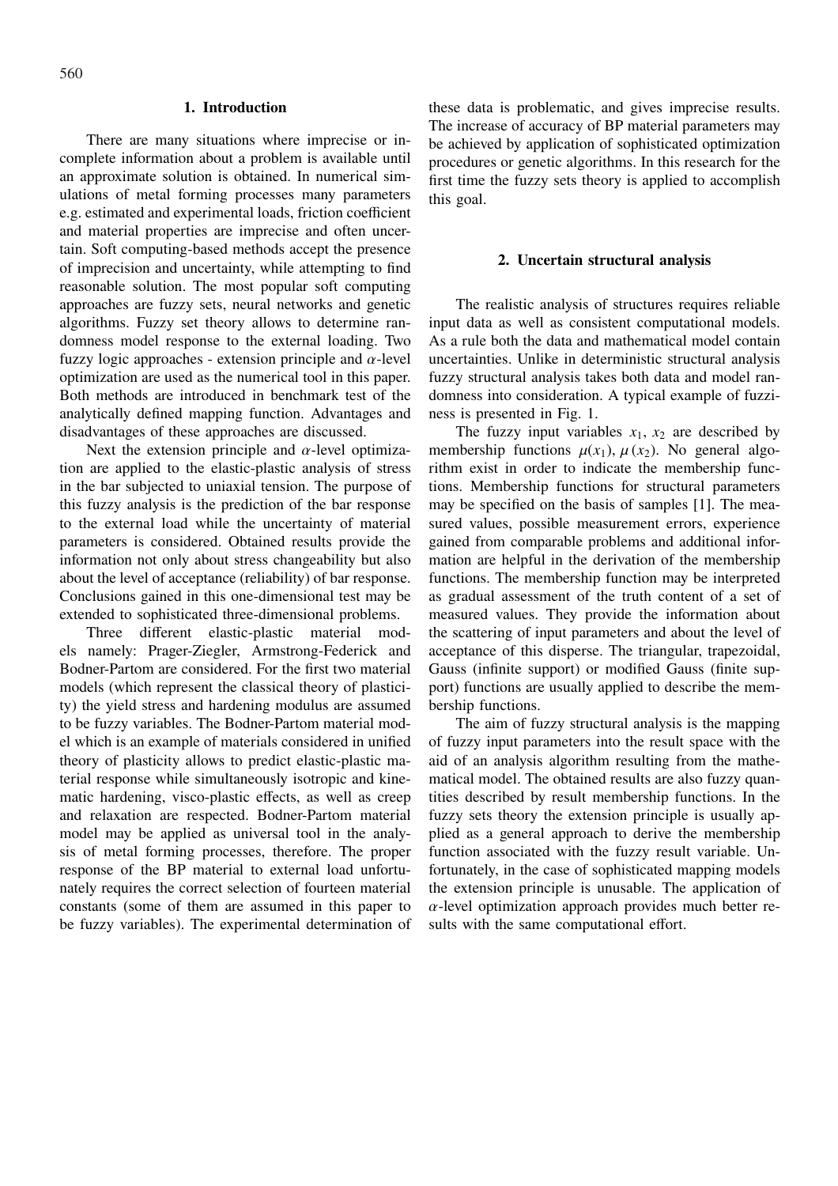### **1. Introduction**

There are many situations where imprecise or incomplete information about a problem is available until an approximate solution is obtained. In numerical simulations of metal forming processes many parameters e.g. estimated and experimental loads, friction coefficient and material properties are imprecise and often uncertain. Soft computing-based methods accept the presence of imprecision and uncertainty, while attempting to find reasonable solution. The most popular soft computing approaches are fuzzy sets, neural networks and genetic algorithms. Fuzzy set theory allows to determine randomness model response to the external loading. Two fuzzy logic approaches - extension principle and  $\alpha$ -level optimization are used as the numerical tool in this paper. Both methods are introduced in benchmark test of the analytically defined mapping function. Advantages and disadvantages of these approaches are discussed.

Next the extension principle and  $\alpha$ -level optimization are applied to the elastic-plastic analysis of stress in the bar subjected to uniaxial tension. The purpose of this fuzzy analysis is the prediction of the bar response to the external load while the uncertainty of material parameters is considered. Obtained results provide the information not only about stress changeability but also about the level of acceptance (reliability) of bar response. Conclusions gained in this one-dimensional test may be extended to sophisticated three-dimensional problems.

Three different elastic-plastic material models namely: Prager-Ziegler, Armstrong-Federick and Bodner-Partom are considered. For the first two material models (which represent the classical theory of plasticity) the yield stress and hardening modulus are assumed to be fuzzy variables. The Bodner-Partom material model which is an example of materials considered in unified theory of plasticity allows to predict elastic-plastic material response while simultaneously isotropic and kinematic hardening, visco-plastic effects, as well as creep and relaxation are respected. Bodner-Partom material model may be applied as universal tool in the analysis of metal forming processes, therefore. The proper response of the BP material to external load unfortunately requires the correct selection of fourteen material constants (some of them are assumed in this paper to be fuzzy variables). The experimental determination of these data is problematic, and gives imprecise results. The increase of accuracy of BP material parameters may be achieved by application of sophisticated optimization procedures or genetic algorithms. In this research for the first time the fuzzy sets theory is applied to accomplish this goal.

#### **2. Uncertain structural analysis**

The realistic analysis of structures requires reliable input data as well as consistent computational models. As a rule both the data and mathematical model contain uncertainties. Unlike in deterministic structural analysis fuzzy structural analysis takes both data and model randomness into consideration. A typical example of fuzziness is presented in Fig. 1.

The fuzzy input variables  $x_1$ ,  $x_2$  are described by membership functions  $\mu(x_1)$ ,  $\mu(x_2)$ . No general algorithm exist in order to indicate the membership functions. Membership functions for structural parameters may be specified on the basis of samples [1]. The measured values, possible measurement errors, experience gained from comparable problems and additional information are helpful in the derivation of the membership functions. The membership function may be interpreted as gradual assessment of the truth content of a set of measured values. They provide the information about the scattering of input parameters and about the level of acceptance of this disperse. The triangular, trapezoidal, Gauss (infinite support) or modified Gauss (finite support) functions are usually applied to describe the membership functions.

The aim of fuzzy structural analysis is the mapping of fuzzy input parameters into the result space with the aid of an analysis algorithm resulting from the mathematical model. The obtained results are also fuzzy quantities described by result membership functions. In the fuzzy sets theory the extension principle is usually applied as a general approach to derive the membership function associated with the fuzzy result variable. Unfortunately, in the case of sophisticated mapping models the extension principle is unusable. The application of  $\alpha$ -level optimization approach provides much better results with the same computational effort.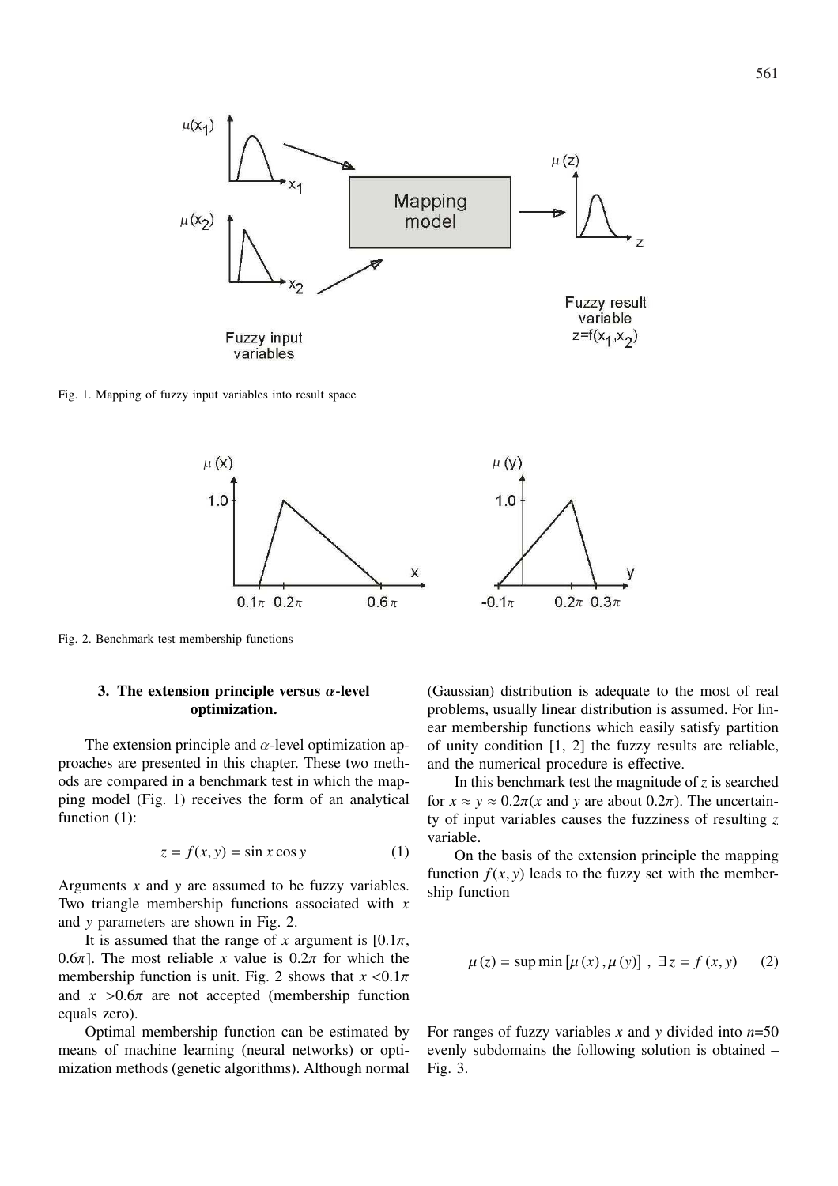

Fig. 1. Mapping of fuzzy input variables into result space





# **3. The extension principle versus** α**-level optimization.**

The extension principle and  $\alpha$ -level optimization approaches are presented in this chapter. These two methods are compared in a benchmark test in which the mapping model (Fig. 1) receives the form of an analytical function  $(1)$ :

$$
z = f(x, y) = \sin x \cos y \tag{1}
$$

Arguments *x* and *y* are assumed to be fuzzy variables. Two triangle membership functions associated with *x* and *y* parameters are shown in Fig. 2.

It is assumed that the range of x argument is  $[0.1\pi]$ , 0.6 $\pi$ ]. The most reliable *x* value is 0.2 $\pi$  for which the membership function is unit. Fig. 2 shows that  $x < 0.1\pi$ and  $x > 0.6\pi$  are not accepted (membership function equals zero).

Optimal membership function can be estimated by means of machine learning (neural networks) or optimization methods (genetic algorithms). Although normal



(Gaussian) distribution is adequate to the most of real problems, usually linear distribution is assumed. For linear membership functions which easily satisfy partition of unity condition [1, 2] the fuzzy results are reliable, and the numerical procedure is effective.

In this benchmark test the magnitude of  $\zeta$  is searched for  $x \approx y \approx 0.2\pi(x)$  and *y* are about  $0.2\pi$ . The uncertainty of input variables causes the fuzziness of resulting *z* variable.

On the basis of the extension principle the mapping function  $f(x, y)$  leads to the fuzzy set with the membership function

$$
\mu(z) = \sup \min [\mu(x), \mu(y)] , \exists z = f(x, y) \quad (2)
$$

For ranges of fuzzy variables  $x$  and  $y$  divided into  $n=50$ evenly subdomains the following solution is obtained – Fig. 3.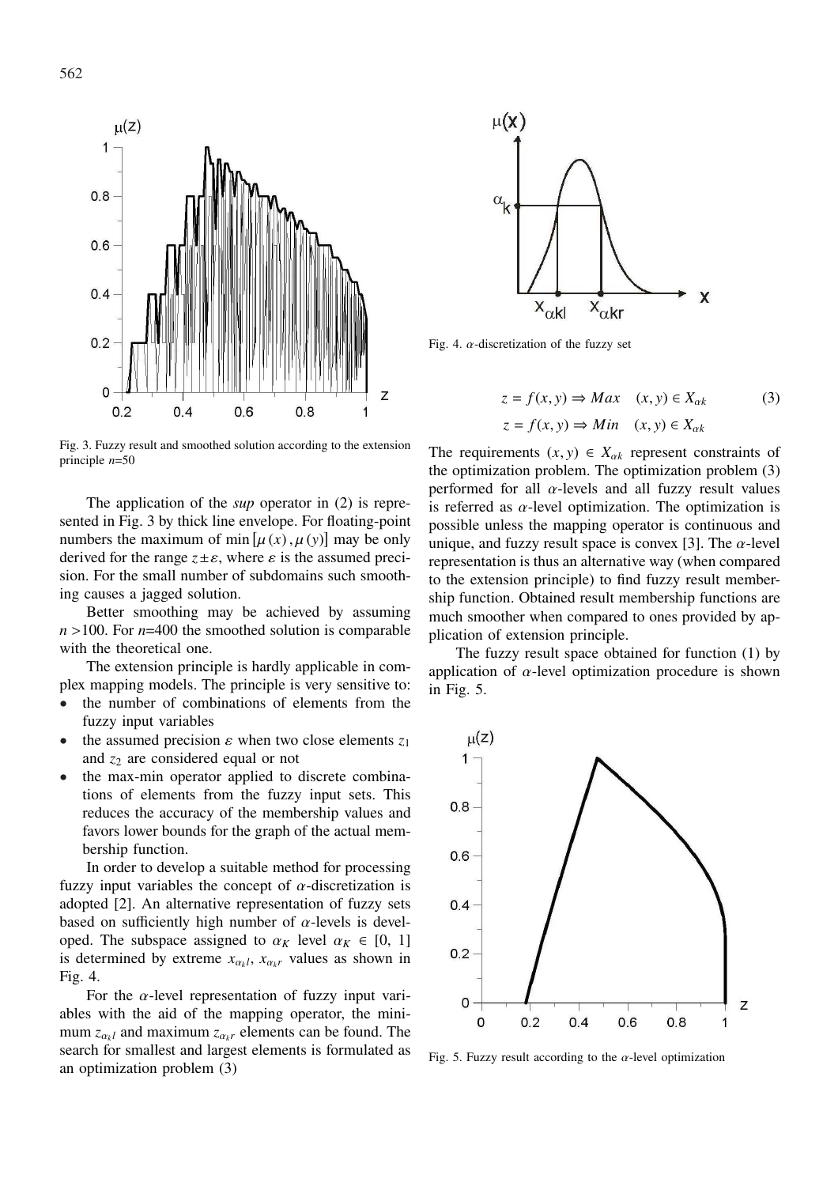

Fig. 3. Fuzzy result and smoothed solution according to the extension principle *n*=50

The application of the *sup* operator in (2) is represented in Fig. 3 by thick line envelope. For floating-point sented in Fig. 5 by thick line environments the maximum of min  $\left[$  $\mu(x), \mu(y)$  may be only derived for the range  $z \pm \varepsilon$ , where  $\varepsilon$  is the assumed precision. For the small number of subdomains such smoothing causes a jagged solution.

Better smoothing may be achieved by assuming *n* >100. For *n*=400 the smoothed solution is comparable with the theoretical one.

The extension principle is hardly applicable in complex mapping models. The principle is very sensitive to:

- the number of combinations of elements from the fuzzy input variables
- the assumed precision  $\varepsilon$  when two close elements  $z_1$ and  $z_2$  are considered equal or not
- the max-min operator applied to discrete combinations of elements from the fuzzy input sets. This reduces the accuracy of the membership values and favors lower bounds for the graph of the actual membership function.

In order to develop a suitable method for processing fuzzy input variables the concept of  $\alpha$ -discretization is adopted [2]. An alternative representation of fuzzy sets based on sufficiently high number of  $\alpha$ -levels is developed. The subspace assigned to  $\alpha_K$  level  $\alpha_K \in [0, 1]$ is determined by extreme  $x_{\alpha_k l}$ ,  $x_{\alpha_k r}$  values as shown in Fig. 4.

For the  $\alpha$ -level representation of fuzzy input variables with the aid of the mapping operator, the minimum  $z_{\alpha_k l}$  and maximum  $z_{\alpha_k r}$  elements can be found. The search for smallest and largest elements is formulated as an optimization problem (3)



Fig. 4.  $\alpha$ -discretization of the fuzzy set

$$
z = f(x, y) \Rightarrow Max \quad (x, y) \in X_{\alpha k} \tag{3}
$$

$$
z = f(x, y) \Rightarrow Min \quad (x, y) \in X_{\alpha k}
$$

The requirements  $(x, y) \in X_{\alpha k}$  represent constraints of the optimization problem. The optimization problem (3) performed for all  $\alpha$ -levels and all fuzzy result values is referred as  $\alpha$ -level optimization. The optimization is possible unless the mapping operator is continuous and unique, and fuzzy result space is convex [3]. The  $\alpha$ -level representation is thus an alternative way (when compared to the extension principle) to find fuzzy result membership function. Obtained result membership functions are much smoother when compared to ones provided by application of extension principle.

The fuzzy result space obtained for function (1) by application of  $\alpha$ -level optimization procedure is shown in Fig. 5.



Fig. 5. Fuzzy result according to the  $\alpha$ -level optimization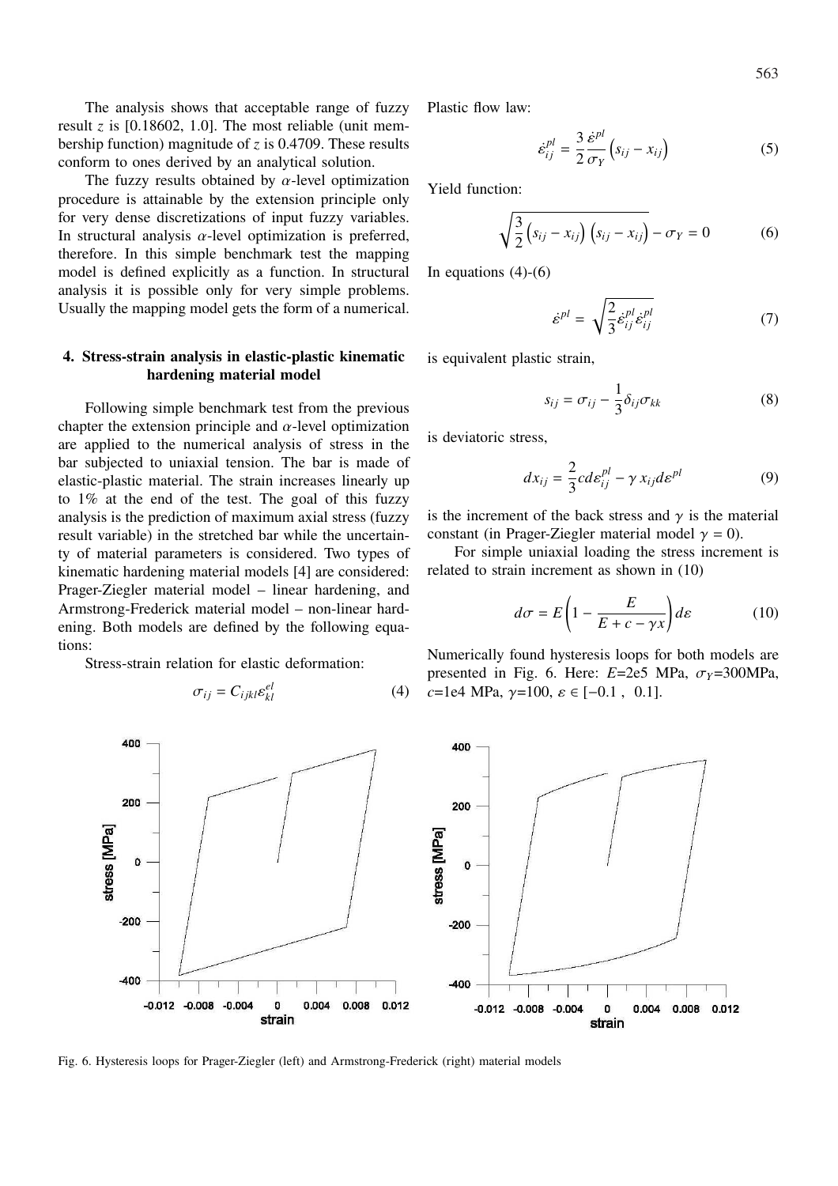The analysis shows that acceptable range of fuzzy result *z* is [0.18602, 1.0]. The most reliable (unit membership function) magnitude of *z* is 0.4709. These results conform to ones derived by an analytical solution.

The fuzzy results obtained by  $\alpha$ -level optimization procedure is attainable by the extension principle only for very dense discretizations of input fuzzy variables. In structural analysis  $\alpha$ -level optimization is preferred, therefore. In this simple benchmark test the mapping model is defined explicitly as a function. In structural analysis it is possible only for very simple problems. Usually the mapping model gets the form of a numerical.

# **4. Stress-strain analysis in elastic-plastic kinematic hardening material model**

Following simple benchmark test from the previous chapter the extension principle and  $\alpha$ -level optimization are applied to the numerical analysis of stress in the bar subjected to uniaxial tension. The bar is made of elastic-plastic material. The strain increases linearly up to 1% at the end of the test. The goal of this fuzzy analysis is the prediction of maximum axial stress (fuzzy result variable) in the stretched bar while the uncertainty of material parameters is considered. Two types of kinematic hardening material models [4] are considered: Prager-Ziegler material model – linear hardening, and Armstrong-Frederick material model – non-linear hardening. Both models are defined by the following equations:

Stress-strain relation for elastic deformation:

$$
\sigma_{ij} = C_{ijkl} \varepsilon_{kl}^{el} \tag{4}
$$

Plastic flow law:

$$
\dot{\varepsilon}_{ij}^{pl} = \frac{3}{2} \frac{\dot{\varepsilon}^{pl}}{\sigma_Y} \left( s_{ij} - x_{ij} \right) \tag{5}
$$

Yield function:

$$
\sqrt{\frac{3}{2}(s_{ij}-x_{ij})(s_{ij}-x_{ij})}-\sigma_Y=0
$$
 (6)

In equations  $(4)-(6)$ 

$$
\dot{\varepsilon}^{pl} = \sqrt{\frac{2}{3} \varepsilon_{ij}^{pl} \dot{\varepsilon}_{ij}^{pl}}
$$
 (7)

is equivalent plastic strain,

$$
s_{ij} = \sigma_{ij} - \frac{1}{3} \delta_{ij} \sigma_{kk}
$$
 (8)

is deviatoric stress,

$$
dx_{ij} = \frac{2}{3} c d \varepsilon_{ij}^{pl} - \gamma x_{ij} d \varepsilon^{pl}
$$
 (9)

is the increment of the back stress and  $\gamma$  is the material constant (in Prager-Ziegler material model  $\gamma = 0$ ).

For simple uniaxial loading the stress increment is related to strain increment as shown in (10)

$$
d\sigma = E\left(1 - \frac{E}{E + c - \gamma x}\right) d\varepsilon \tag{10}
$$

Numerically found hysteresis loops for both models are presented in Fig. 6. Here:  $E=2e5$  MPa,  $\sigma_y=300MPa$ , *c*=1e4 MPa,  $\gamma$ =100,  $\varepsilon \in [-0.1, 0.1]$ .



Fig. 6. Hysteresis loops for Prager-Ziegler (left) and Armstrong-Frederick (right) material models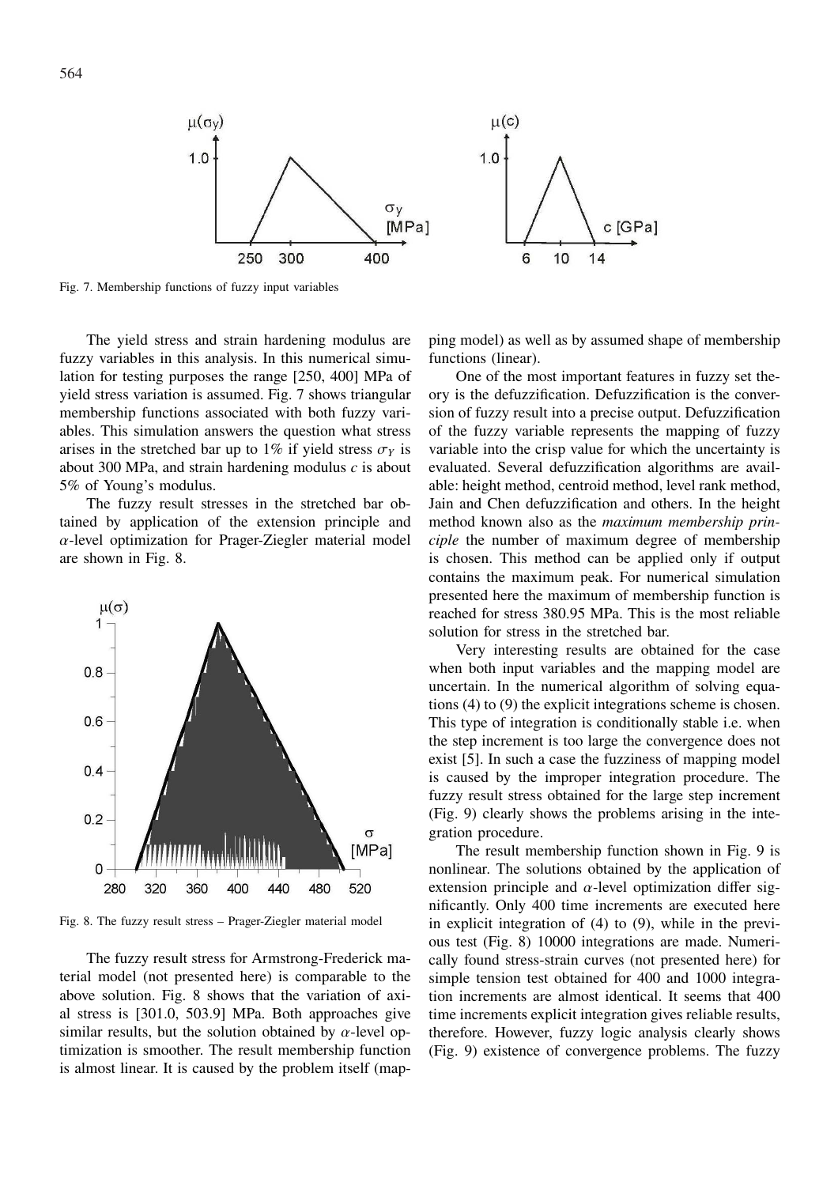





Fig. 7. Membership functions of fuzzy input variables

The yield stress and strain hardening modulus are fuzzy variables in this analysis. In this numerical simulation for testing purposes the range [250, 400] MPa of yield stress variation is assumed. Fig. 7 shows triangular membership functions associated with both fuzzy variables. This simulation answers the question what stress arises in the stretched bar up to 1% if yield stress  $\sigma_Y$  is about 300 MPa, and strain hardening modulus *c* is about 5% of Young's modulus.

The fuzzy result stresses in the stretched bar obtained by application of the extension principle and  $\alpha$ -level optimization for Prager-Ziegler material model are shown in Fig. 8.



Fig. 8. The fuzzy result stress – Prager-Ziegler material model

The fuzzy result stress for Armstrong-Frederick material model (not presented here) is comparable to the above solution. Fig. 8 shows that the variation of axial stress is [301.0, 503.9] MPa. Both approaches give similar results, but the solution obtained by  $\alpha$ -level optimization is smoother. The result membership function is almost linear. It is caused by the problem itself (map-

ping model) as well as by assumed shape of membership functions (linear).

One of the most important features in fuzzy set theory is the defuzzification. Defuzzification is the conversion of fuzzy result into a precise output. Defuzzification of the fuzzy variable represents the mapping of fuzzy variable into the crisp value for which the uncertainty is evaluated. Several defuzzification algorithms are available: height method, centroid method, level rank method, Jain and Chen defuzzification and others. In the height method known also as the *maximum membership principle* the number of maximum degree of membership is chosen. This method can be applied only if output contains the maximum peak. For numerical simulation presented here the maximum of membership function is reached for stress 380.95 MPa. This is the most reliable solution for stress in the stretched bar.

Very interesting results are obtained for the case when both input variables and the mapping model are uncertain. In the numerical algorithm of solving equations (4) to (9) the explicit integrations scheme is chosen. This type of integration is conditionally stable i.e. when the step increment is too large the convergence does not exist [5]. In such a case the fuzziness of mapping model is caused by the improper integration procedure. The fuzzy result stress obtained for the large step increment (Fig. 9) clearly shows the problems arising in the integration procedure.

The result membership function shown in Fig. 9 is nonlinear. The solutions obtained by the application of extension principle and  $\alpha$ -level optimization differ significantly. Only 400 time increments are executed here in explicit integration of (4) to (9), while in the previous test (Fig. 8) 10000 integrations are made. Numerically found stress-strain curves (not presented here) for simple tension test obtained for 400 and 1000 integration increments are almost identical. It seems that 400 time increments explicit integration gives reliable results, therefore. However, fuzzy logic analysis clearly shows (Fig. 9) existence of convergence problems. The fuzzy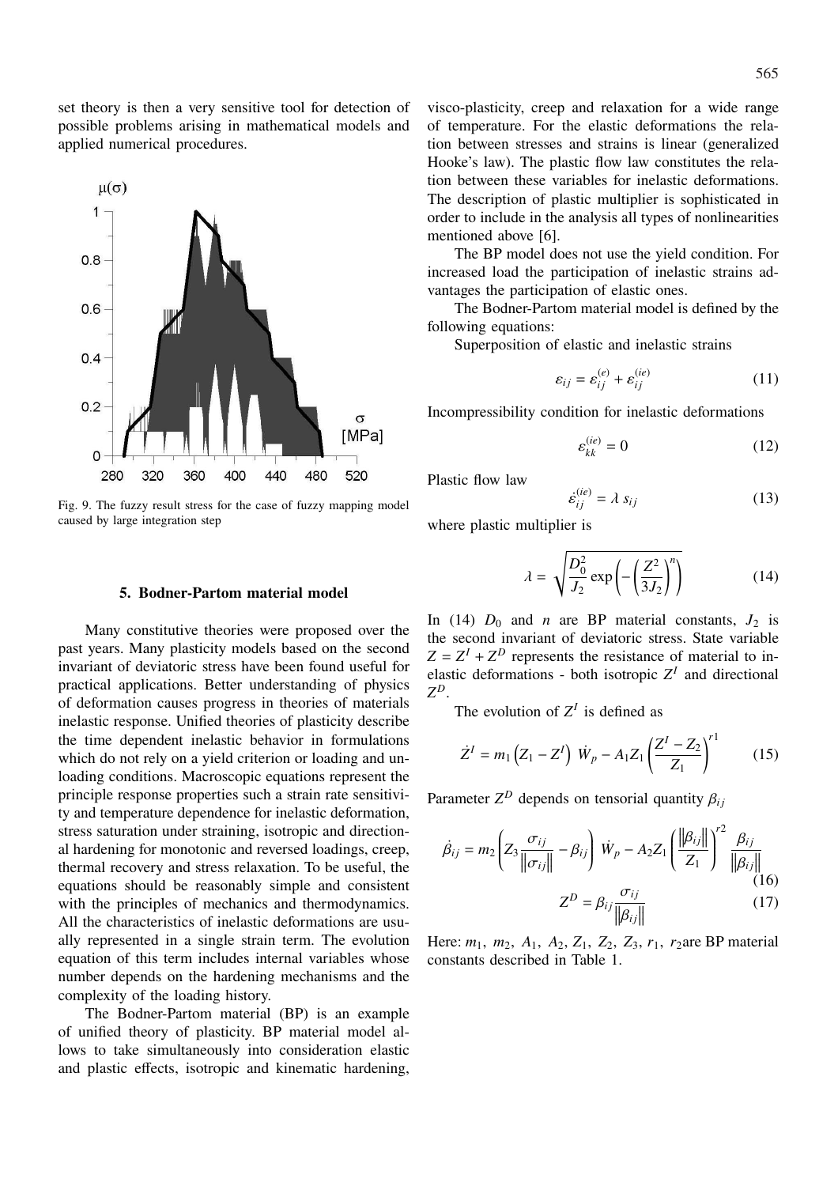set theory is then a very sensitive tool for detection of possible problems arising in mathematical models and applied numerical procedures.



Fig. 9. The fuzzy result stress for the case of fuzzy mapping model caused by large integration step

## **5. Bodner-Partom material model**

Many constitutive theories were proposed over the past years. Many plasticity models based on the second invariant of deviatoric stress have been found useful for practical applications. Better understanding of physics of deformation causes progress in theories of materials inelastic response. Unified theories of plasticity describe the time dependent inelastic behavior in formulations which do not rely on a yield criterion or loading and unloading conditions. Macroscopic equations represent the principle response properties such a strain rate sensitivity and temperature dependence for inelastic deformation, stress saturation under straining, isotropic and directional hardening for monotonic and reversed loadings, creep, thermal recovery and stress relaxation. To be useful, the equations should be reasonably simple and consistent with the principles of mechanics and thermodynamics. All the characteristics of inelastic deformations are usually represented in a single strain term. The evolution equation of this term includes internal variables whose number depends on the hardening mechanisms and the complexity of the loading history.

The Bodner-Partom material (BP) is an example of unified theory of plasticity. BP material model allows to take simultaneously into consideration elastic and plastic effects, isotropic and kinematic hardening, visco-plasticity, creep and relaxation for a wide range of temperature. For the elastic deformations the relation between stresses and strains is linear (generalized Hooke's law). The plastic flow law constitutes the relation between these variables for inelastic deformations. The description of plastic multiplier is sophisticated in order to include in the analysis all types of nonlinearities mentioned above [6].

The BP model does not use the yield condition. For increased load the participation of inelastic strains advantages the participation of elastic ones.

The Bodner-Partom material model is defined by the following equations:

Superposition of elastic and inelastic strains

$$
\varepsilon_{ij} = \varepsilon_{ij}^{(e)} + \varepsilon_{ij}^{(ie)} \tag{11}
$$

Incompressibility condition for inelastic deformations

$$
\varepsilon_{kk}^{(ie)} = 0 \tag{12}
$$

Plastic flow law

$$
\dot{\varepsilon}_{ij}^{(ie)} = \lambda \, s_{ij} \tag{13}
$$

where plastic multiplier is

$$
\lambda = \sqrt{\frac{D_0^2}{J_2} \exp\left(-\left(\frac{Z^2}{3J_2}\right)^n\right)}
$$
(14)

In (14)  $D_0$  and *n* are BP material constants,  $J_2$  is the second invariant of deviatoric stress. State variable  $Z = Z^I + Z^D$  represents the resistance of material to inelastic deformations - both isotropic  $Z<sup>I</sup>$  and directional *Z D*.

The evolution of  $Z^I$  is defined as

$$
\dot{Z}^I = m_1 (Z_1 - Z^I) \dot{W}_p - A_1 Z_1 \left(\frac{Z^I - Z_2}{Z_1}\right)^{r_1}
$$
 (15)

Parameter  $Z^D$  depends on tensorial quantity  $\beta_{ij}$ 

$$
\dot{\beta}_{ij} = m_2 \left( Z_3 \frac{\sigma_{ij}}{\|\sigma_{ij}\|} - \beta_{ij} \right) \dot{W}_p - A_2 Z_1 \left( \frac{\left\| \beta_{ij} \right\|}{Z_1} \right)^{r^2} \frac{\beta_{ij}}{\left\| \beta_{ij} \right\|} \tag{16}
$$
\n
$$
Z^D = \beta_{ij} \frac{\sigma_{ij}}{\left\| \beta_{ij} \right\|} \tag{17}
$$

Here:  $m_1$ ,  $m_2$ ,  $A_1$ ,  $A_2$ ,  $Z_1$ ,  $Z_2$ ,  $Z_3$ ,  $r_1$ ,  $r_2$ are BP material constants described in Table 1.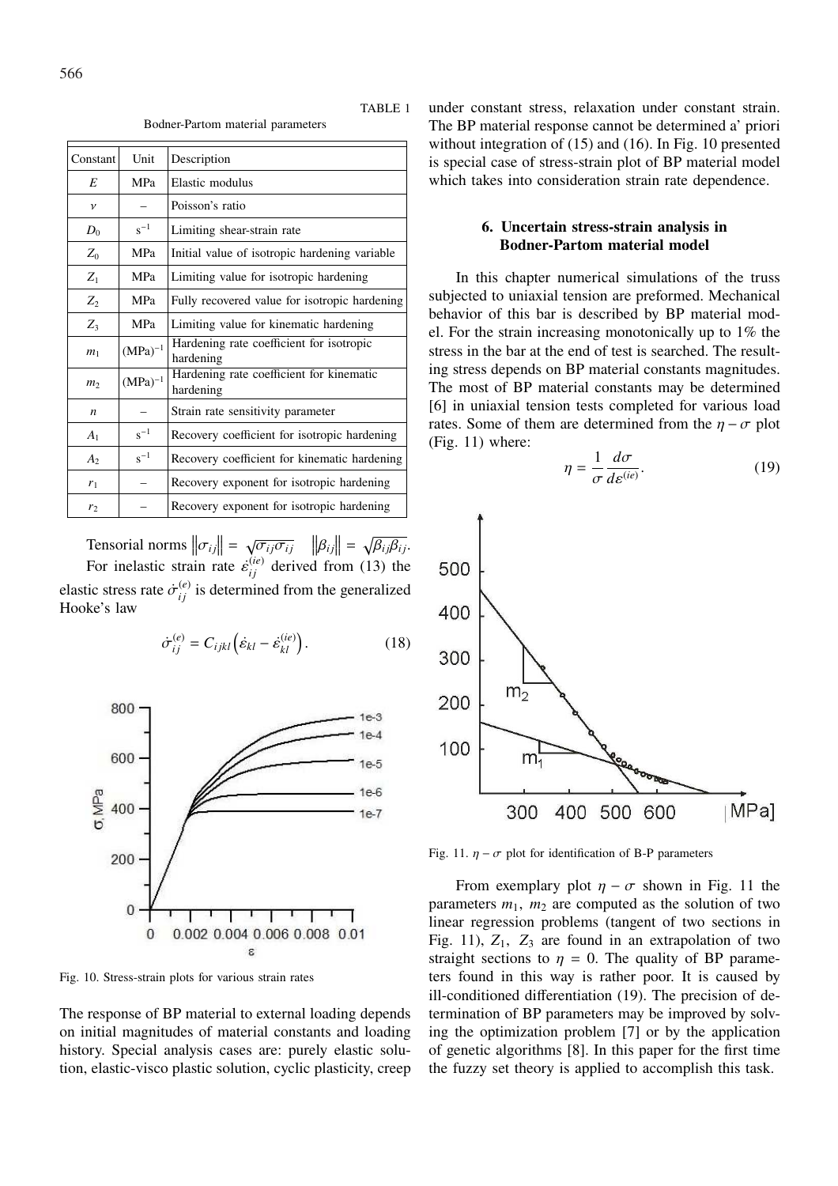TABLE 1

Bodner-Partom material parameters

| Constant         | Unit         | Description                                           |  |
|------------------|--------------|-------------------------------------------------------|--|
| E                | <b>MPa</b>   | Elastic modulus                                       |  |
| $\mathcal V$     |              | Poisson's ratio                                       |  |
| $D_0$            | $s^{-1}$     | Limiting shear-strain rate                            |  |
| $Z_0$            | MPa          | Initial value of isotropic hardening variable         |  |
| $\mathbb{Z}_1$   | MPa          | Limiting value for isotropic hardening                |  |
| $Z_2$            | <b>MPa</b>   | Fully recovered value for isotropic hardening         |  |
| $Z_3$            | <b>MPa</b>   | Limiting value for kinematic hardening                |  |
| m <sub>1</sub>   | $(MPa)^{-1}$ | Hardening rate coefficient for isotropic<br>hardening |  |
| m <sub>2</sub>   | $(MPa)^{-1}$ | Hardening rate coefficient for kinematic<br>hardening |  |
| $\boldsymbol{n}$ |              | Strain rate sensitivity parameter                     |  |
| A <sub>1</sub>   | $s^{-1}$     | Recovery coefficient for isotropic hardening          |  |
| A <sub>2</sub>   | $s^{-1}$     | Recovery coefficient for kinematic hardening          |  |
| $r_1$            |              | Recovery exponent for isotropic hardening             |  |
| r <sub>2</sub>   |              | Recovery exponent for isotropic hardening             |  |

Tensorial norms  $\Vert \sigma_{ij}$  $\| = \sqrt{\sigma_{ij} \sigma_{ij}}$  β*ij*  $\| = \sqrt{\}$ β*ij*β*ij*. For inelastic strain rate  $\dot{\varepsilon}_{ij}^{(ie)}$  derived from (13) the elastic stress rate  $\dot{\sigma}_{ij}^{(e)}$  is determined from the generalized Hooke's law

$$
\dot{\sigma}_{ij}^{(e)} = C_{ijkl} \left( \dot{\varepsilon}_{kl} - \dot{\varepsilon}_{kl}^{(ie)} \right). \tag{18}
$$



Fig. 10. Stress-strain plots for various strain rates

The response of BP material to external loading depends on initial magnitudes of material constants and loading history. Special analysis cases are: purely elastic solution, elastic-visco plastic solution, cyclic plasticity, creep

under constant stress, relaxation under constant strain. The BP material response cannot be determined a' priori without integration of (15) and (16). In Fig. 10 presented is special case of stress-strain plot of BP material model which takes into consideration strain rate dependence.

# **6. Uncertain stress-strain analysis in Bodner-Partom material model**

In this chapter numerical simulations of the truss subjected to uniaxial tension are preformed. Mechanical behavior of this bar is described by BP material model. For the strain increasing monotonically up to  $1\%$  the stress in the bar at the end of test is searched. The resulting stress depends on BP material constants magnitudes. The most of BP material constants may be determined [6] in uniaxial tension tests completed for various load rates. Some of them are determined from the  $\eta - \sigma$  plot (Fig. 11) where:

$$
\eta = \frac{1}{\sigma} \frac{d\sigma}{d\varepsilon^{(ie)}}.
$$
\n(19)



Fig. 11.  $\eta - \sigma$  plot for identification of B-P parameters

From exemplary plot  $\eta - \sigma$  shown in Fig. 11 the parameters  $m_1$ ,  $m_2$  are computed as the solution of two linear regression problems (tangent of two sections in Fig. 11),  $Z_1$ ,  $Z_3$  are found in an extrapolation of two straight sections to  $\eta = 0$ . The quality of BP parameters found in this way is rather poor. It is caused by ill-conditioned differentiation (19). The precision of determination of BP parameters may be improved by solving the optimization problem [7] or by the application of genetic algorithms [8]. In this paper for the first time the fuzzy set theory is applied to accomplish this task.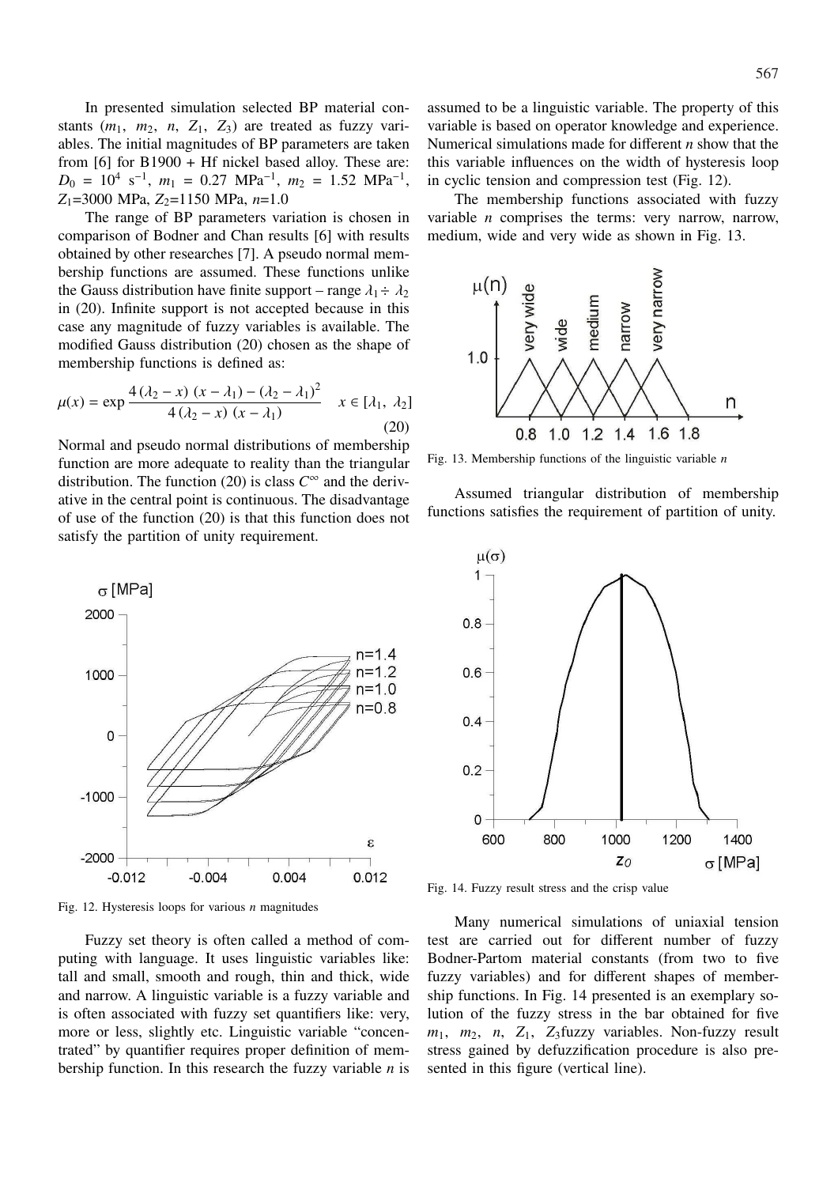In presented simulation selected BP material constants  $(m_1, m_2, n, Z_1, Z_3)$  are treated as fuzzy variables. The initial magnitudes of BP parameters are taken from [6] for B1900 + Hf nickel based alloy. These are:  $D_0 = 10^4 \text{ s}^{-1}$ ,  $m_1 = 0.27 \text{ MPa}^{-1}$ ,  $m_2 = 1.52 \text{ MPa}^{-1}$ , *Z*<sub>1</sub>=3000 MPa, *Z*<sub>2</sub>=1150 MPa, *n*=1.0

The range of BP parameters variation is chosen in comparison of Bodner and Chan results [6] with results obtained by other researches [7]. A pseudo normal membership functions are assumed. These functions unlike the Gauss distribution have finite support – range  $\lambda_1 \div \lambda_2$ in (20). Infinite support is not accepted because in this case any magnitude of fuzzy variables is available. The modified Gauss distribution (20) chosen as the shape of membership functions is defined as:

$$
\mu(x) = \exp \frac{4(\lambda_2 - x)(x - \lambda_1) - (\lambda_2 - \lambda_1)^2}{4(\lambda_2 - x)(x - \lambda_1)} \quad x \in [\lambda_1, \lambda_2]
$$
\n(20)

Normal and pseudo normal distributions of membership function are more adequate to reality than the triangular distribution. The function (20) is class  $C^{\infty}$  and the derivative in the central point is continuous. The disadvantage of use of the function (20) is that this function does not satisfy the partition of unity requirement.



Fig. 12. Hysteresis loops for various *n* magnitudes

Fuzzy set theory is often called a method of computing with language. It uses linguistic variables like: tall and small, smooth and rough, thin and thick, wide and narrow. A linguistic variable is a fuzzy variable and is often associated with fuzzy set quantifiers like: very, more or less, slightly etc. Linguistic variable "concentrated" by quantifier requires proper definition of membership function. In this research the fuzzy variable *n* is assumed to be a linguistic variable. The property of this variable is based on operator knowledge and experience. Numerical simulations made for different *n* show that the this variable influences on the width of hysteresis loop in cyclic tension and compression test (Fig. 12).

The membership functions associated with fuzzy variable *n* comprises the terms: very narrow, narrow, medium, wide and very wide as shown in Fig. 13.



Fig. 13. Membership functions of the linguistic variable *n*

Assumed triangular distribution of membership functions satisfies the requirement of partition of unity.



Fig. 14. Fuzzy result stress and the crisp value

Many numerical simulations of uniaxial tension test are carried out for different number of fuzzy Bodner-Partom material constants (from two to five fuzzy variables) and for different shapes of membership functions. In Fig. 14 presented is an exemplary solution of the fuzzy stress in the bar obtained for five  $m_1$ ,  $m_2$ ,  $n$ ,  $Z_1$ ,  $Z_3$ fuzzy variables. Non-fuzzy result stress gained by defuzzification procedure is also presented in this figure (vertical line).